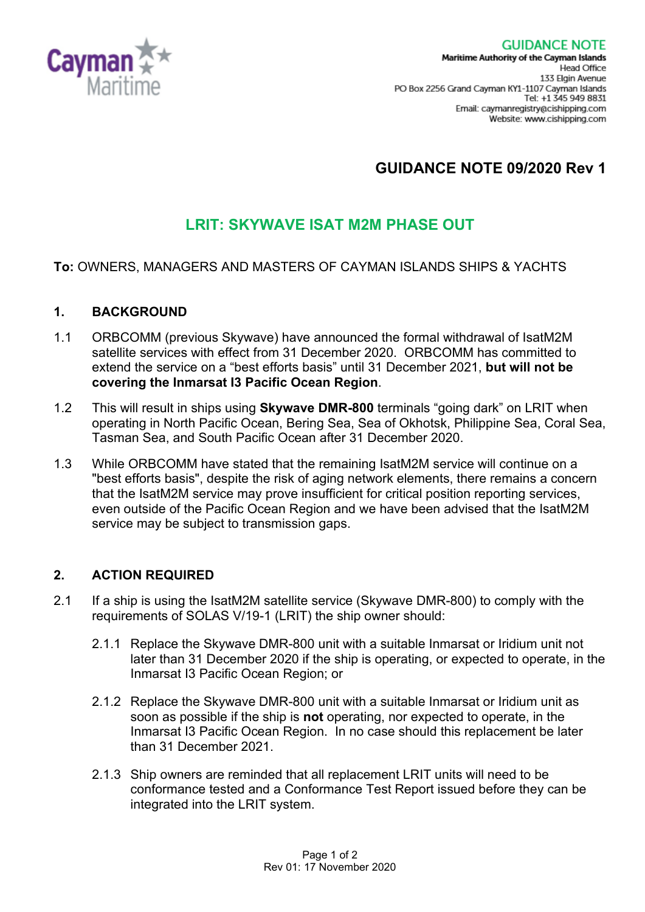

# **GUIDANCE NOTE 09/2020 Rev 1**

## **LRIT: SKYWAVE ISAT M2M PHASE OUT**

#### **To:** OWNERS, MANAGERS AND MASTERS OF CAYMAN ISLANDS SHIPS & YACHTS

#### **1. BACKGROUND**

- 1.1 ORBCOMM (previous Skywave) have announced the formal withdrawal of IsatM2M satellite services with effect from 31 December 2020. ORBCOMM has committed to extend the service on a "best efforts basis" until 31 December 2021, **but will not be covering the Inmarsat I3 Pacific Ocean Region**.
- 1.2 This will result in ships using **Skywave DMR-800** terminals "going dark" on LRIT when operating in North Pacific Ocean, Bering Sea, Sea of Okhotsk, Philippine Sea, Coral Sea, Tasman Sea, and South Pacific Ocean after 31 December 2020.
- 1.3 While ORBCOMM have stated that the remaining IsatM2M service will continue on a "best efforts basis", despite the risk of aging network elements, there remains a concern that the IsatM2M service may prove insufficient for critical position reporting services, even outside of the Pacific Ocean Region and we have been advised that the IsatM2M service may be subject to transmission gaps.

#### **2. ACTION REQUIRED**

- 2.1 If a ship is using the IsatM2M satellite service (Skywave DMR-800) to comply with the requirements of SOLAS V/19-1 (LRIT) the ship owner should:
	- 2.1.1 Replace the Skywave DMR-800 unit with a suitable Inmarsat or Iridium unit not later than 31 December 2020 if the ship is operating, or expected to operate, in the Inmarsat I3 Pacific Ocean Region; or
	- 2.1.2 Replace the Skywave DMR-800 unit with a suitable Inmarsat or Iridium unit as soon as possible if the ship is **not** operating, nor expected to operate, in the Inmarsat I3 Pacific Ocean Region. In no case should this replacement be later than 31 December 2021.
	- 2.1.3 Ship owners are reminded that all replacement LRIT units will need to be conformance tested and a Conformance Test Report issued before they can be integrated into the LRIT system.